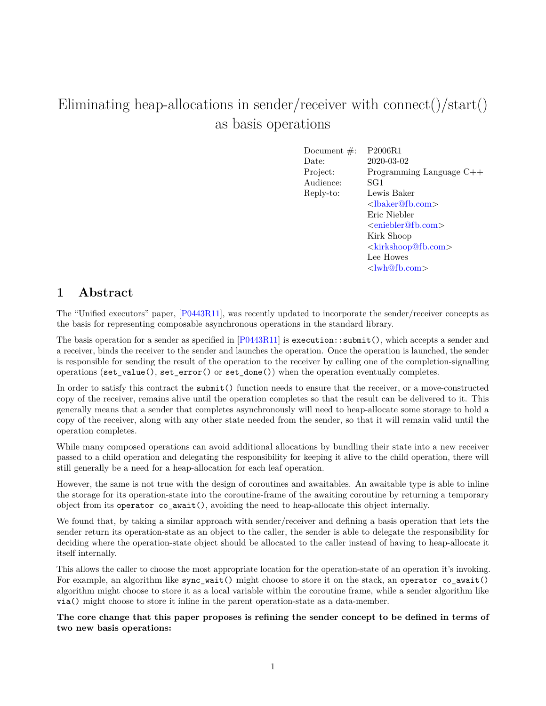# Eliminating heap-allocations in sender/receiver with connect()/start() as basis operations

Document #: P2006R1 Date: 2020-03-02 Project: Programming Language C++ Audience: SG1 Reply-to: Lewis Baker [<lbaker@fb.com>](mailto:lbaker@fb.com) Eric Niebler [<eniebler@fb.com>](mailto:eniebler@fb.com) Kirk Shoop [<kirkshoop@fb.com>](mailto:kirkshoop@fb.com) Lee Howes [<lwh@fb.com>](mailto:lwh@fb.com)

# **1 Abstract**

The "Unified executors" paper, [\[P0443R11\]](#page-31-0), was recently updated to incorporate the sender/receiver concepts as the basis for representing composable asynchronous operations in the standard library.

The basis operation for a sender as specified in [\[P0443R11\]](#page-31-0) is execution::submit(), which accepts a sender and a receiver, binds the receiver to the sender and launches the operation. Once the operation is launched, the sender is responsible for sending the result of the operation to the receiver by calling one of the completion-signalling operations (set\_value(), set\_error() or set\_done()) when the operation eventually completes.

In order to satisfy this contract the submit() function needs to ensure that the receiver, or a move-constructed copy of the receiver, remains alive until the operation completes so that the result can be delivered to it. This generally means that a sender that completes asynchronously will need to heap-allocate some storage to hold a copy of the receiver, along with any other state needed from the sender, so that it will remain valid until the operation completes.

While many composed operations can avoid additional allocations by bundling their state into a new receiver passed to a child operation and delegating the responsibility for keeping it alive to the child operation, there will still generally be a need for a heap-allocation for each leaf operation.

However, the same is not true with the design of coroutines and awaitables. An awaitable type is able to inline the storage for its operation-state into the coroutine-frame of the awaiting coroutine by returning a temporary object from its operator co\_await(), avoiding the need to heap-allocate this object internally.

We found that, by taking a similar approach with sender/receiver and defining a basis operation that lets the sender return its operation-state as an object to the caller, the sender is able to delegate the responsibility for deciding where the operation-state object should be allocated to the caller instead of having to heap-allocate it itself internally.

This allows the caller to choose the most appropriate location for the operation-state of an operation it's invoking. For example, an algorithm like sync wait() might choose to store it on the stack, an operator co await() algorithm might choose to store it as a local variable within the coroutine frame, while a sender algorithm like via() might choose to store it inline in the parent operation-state as a data-member.

**The core change that this paper proposes is refining the sender concept to be defined in terms of two new basis operations:**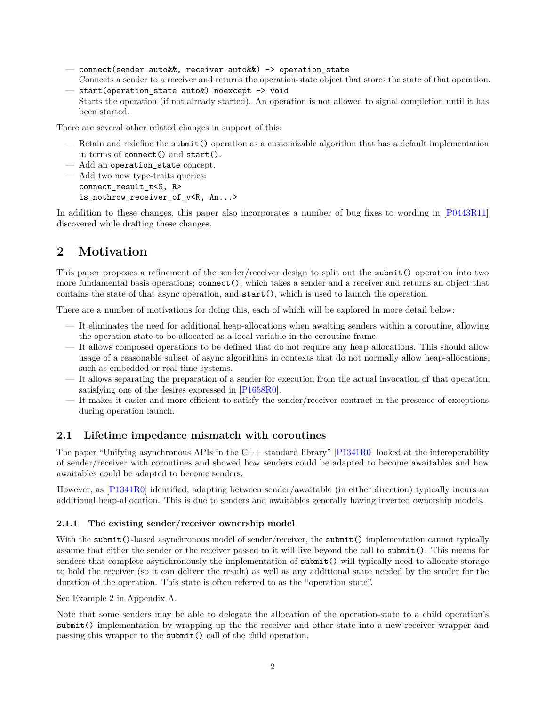- connect(sender auto&&, receiver auto&&) -> operation\_state Connects a sender to a receiver and returns the operation-state object that stores the state of that operation.
- start(operation\_state auto&) noexcept -> void Starts the operation (if not already started). An operation is not allowed to signal completion until it has been started.

There are several other related changes in support of this:

- Retain and redefine the submit() operation as a customizable algorithm that has a default implementation in terms of connect() and start().
- Add an operation state concept.
- Add two new type-traits queries: connect\_result\_t<S, R> is nothrow receiver of v<R, An...>

In addition to these changes, this paper also incorporates a number of bug fixes to wording in  $[P0443R11]$ discovered while drafting these changes.

# **2 Motivation**

This paper proposes a refinement of the sender/receiver design to split out the submit() operation into two more fundamental basis operations; connect(), which takes a sender and a receiver and returns an object that contains the state of that async operation, and start(), which is used to launch the operation.

There are a number of motivations for doing this, each of which will be explored in more detail below:

- It eliminates the need for additional heap-allocations when awaiting senders within a coroutine, allowing the operation-state to be allocated as a local variable in the coroutine frame.
- It allows composed operations to be defined that do not require any heap allocations. This should allow usage of a reasonable subset of async algorithms in contexts that do not normally allow heap-allocations, such as embedded or real-time systems.
- It allows separating the preparation of a sender for execution from the actual invocation of that operation, satisfying one of the desires expressed in [\[P1658R0\]](#page-31-1).
- It makes it easier and more efficient to satisfy the sender/receiver contract in the presence of exceptions during operation launch.

#### **2.1 Lifetime impedance mismatch with coroutines**

The paper "Unifying asynchronous APIs in the  $C++$  standard library"  $[P1341R0]$  looked at the interoperability of sender/receiver with coroutines and showed how senders could be adapted to become awaitables and how awaitables could be adapted to become senders.

However, as [\[P1341R0\]](#page-31-2) identified, adapting between sender/awaitable (in either direction) typically incurs an additional heap-allocation. This is due to senders and awaitables generally having inverted ownership models.

#### **2.1.1 The existing sender/receiver ownership model**

With the submit()-based asynchronous model of sender/receiver, the submit() implementation cannot typically assume that either the sender or the receiver passed to it will live beyond the call to submit(). This means for senders that complete asynchronously the implementation of submit() will typically need to allocate storage to hold the receiver (so it can deliver the result) as well as any additional state needed by the sender for the duration of the operation. This state is often referred to as the "operation state".

See Example 2 in Appendix A.

Note that some senders may be able to delegate the allocation of the operation-state to a child operation's submit() implementation by wrapping up the the receiver and other state into a new receiver wrapper and passing this wrapper to the submit() call of the child operation.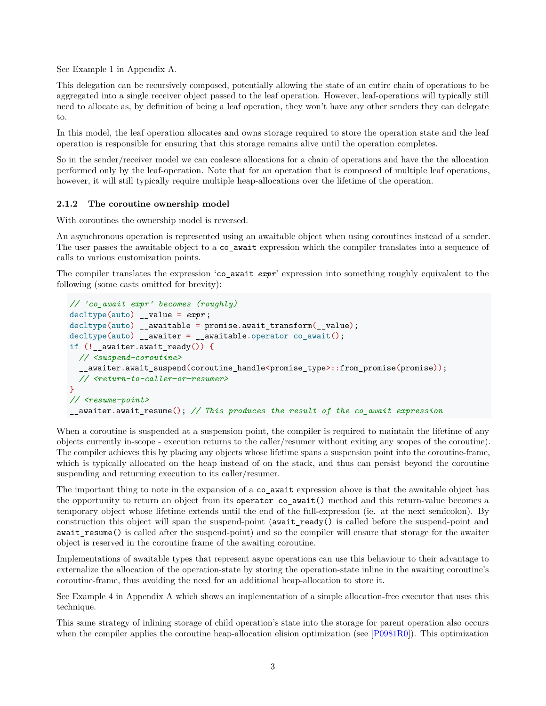See Example 1 in Appendix A.

This delegation can be recursively composed, potentially allowing the state of an entire chain of operations to be aggregated into a single receiver object passed to the leaf operation. However, leaf-operations will typically still need to allocate as, by definition of being a leaf operation, they won't have any other senders they can delegate to.

In this model, the leaf operation allocates and owns storage required to store the operation state and the leaf operation is responsible for ensuring that this storage remains alive until the operation completes.

So in the sender/receiver model we can coalesce allocations for a chain of operations and have the the allocation performed only by the leaf-operation. Note that for an operation that is composed of multiple leaf operations, however, it will still typically require multiple heap-allocations over the lifetime of the operation.

#### **2.1.2 The coroutine ownership model**

With coroutines the ownership model is reversed.

An asynchronous operation is represented using an awaitable object when using coroutines instead of a sender. The user passes the awaitable object to a co await expression which the compiler translates into a sequence of calls to various customization points.

The compiler translates the expression 'co\_await *expr*' expression into something roughly equivalent to the following (some casts omitted for brevity):

```
// 'co_await expr' becomes (roughly)
decltype(auto) __value = expr ;
decltype(auto) __awaitable = promise.await_transform(__value);
decltype(auto) __awaiter = __awaitable.operator co_await();
if (!__awaiter.await_ready()) {
  // <suspend-coroutine>
  __awaiter.await_suspend(coroutine_handle<promise_type>::from_promise(promise));
  // <return-to-caller-or-resumer>
}
// <resume-point>
__awaiter.await_resume(); // This produces the result of the co_await expression
```
When a coroutine is suspended at a suspension point, the compiler is required to maintain the lifetime of any objects currently in-scope - execution returns to the caller/resumer without exiting any scopes of the coroutine). The compiler achieves this by placing any objects whose lifetime spans a suspension point into the coroutine-frame, which is typically allocated on the heap instead of on the stack, and thus can persist beyond the coroutine suspending and returning execution to its caller/resumer.

The important thing to note in the expansion of a co\_await expression above is that the awaitable object has the opportunity to return an object from its operator co\_await() method and this return-value becomes a temporary object whose lifetime extends until the end of the full-expression (ie. at the next semicolon). By construction this object will span the suspend-point (await\_ready() is called before the suspend-point and await\_resume() is called after the suspend-point) and so the compiler will ensure that storage for the awaiter object is reserved in the coroutine frame of the awaiting coroutine.

Implementations of awaitable types that represent async operations can use this behaviour to their advantage to externalize the allocation of the operation-state by storing the operation-state inline in the awaiting coroutine's coroutine-frame, thus avoiding the need for an additional heap-allocation to store it.

See Example 4 in Appendix A which shows an implementation of a simple allocation-free executor that uses this technique.

This same strategy of inlining storage of child operation's state into the storage for parent operation also occurs when the compiler applies the coroutine heap-allocation elision optimization (see [\[P0981R0\]](#page-31-3)). This optimization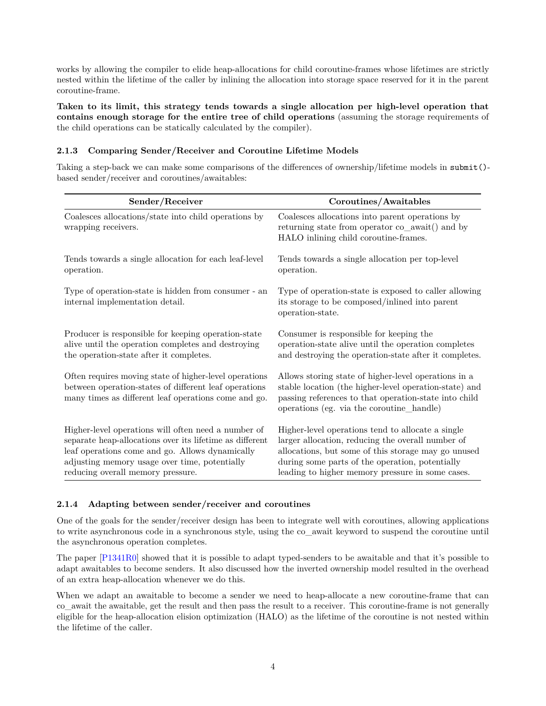works by allowing the compiler to elide heap-allocations for child coroutine-frames whose lifetimes are strictly nested within the lifetime of the caller by inlining the allocation into storage space reserved for it in the parent coroutine-frame.

**Taken to its limit, this strategy tends towards a single allocation per high-level operation that contains enough storage for the entire tree of child operations** (assuming the storage requirements of the child operations can be statically calculated by the compiler).

#### **2.1.3 Comparing Sender/Receiver and Coroutine Lifetime Models**

Taking a step-back we can make some comparisons of the differences of ownership/lifetime models in submit() based sender/receiver and coroutines/awaitables:

| Sender/Receiver                                                                                                                                                                                                                                          | Coroutines/Awaitables                                                                                                                                                                                                                                                |  |
|----------------------------------------------------------------------------------------------------------------------------------------------------------------------------------------------------------------------------------------------------------|----------------------------------------------------------------------------------------------------------------------------------------------------------------------------------------------------------------------------------------------------------------------|--|
| Coalesces allocations/state into child operations by<br>wrapping receivers.                                                                                                                                                                              | Coalesces allocations into parent operations by<br>returning state from operator co_await() and by<br>HALO inlining child coroutine-frames.                                                                                                                          |  |
| Tends towards a single allocation for each leaf-level<br>operation.                                                                                                                                                                                      | Tends towards a single allocation per top-level<br>operation.                                                                                                                                                                                                        |  |
| Type of operation-state is hidden from consumer - an<br>internal implementation detail.                                                                                                                                                                  | Type of operation-state is exposed to caller allowing<br>its storage to be composed/inlined into parent<br>operation-state.                                                                                                                                          |  |
| Producer is responsible for keeping operation-state<br>alive until the operation completes and destroying<br>the operation-state after it completes.                                                                                                     | Consumer is responsible for keeping the<br>operation-state alive until the operation completes<br>and destroying the operation-state after it completes.                                                                                                             |  |
| Often requires moving state of higher-level operations<br>between operation-states of different leaf operations<br>many times as different leaf operations come and go.                                                                                  | Allows storing state of higher-level operations in a<br>stable location (the higher-level operation-state) and<br>passing references to that operation-state into child<br>operations (eg. via the coroutine_handle)                                                 |  |
| Higher-level operations will often need a number of<br>separate heap-allocations over its lifetime as different<br>leaf operations come and go. Allows dynamically<br>adjusting memory usage over time, potentially<br>reducing overall memory pressure. | Higher-level operations tend to allocate a single<br>larger allocation, reducing the overall number of<br>allocations, but some of this storage may go unused<br>during some parts of the operation, potentially<br>leading to higher memory pressure in some cases. |  |

#### **2.1.4 Adapting between sender/receiver and coroutines**

One of the goals for the sender/receiver design has been to integrate well with coroutines, allowing applications to write asynchronous code in a synchronous style, using the co\_await keyword to suspend the coroutine until the asynchronous operation completes.

The paper [\[P1341R0\]](#page-31-2) showed that it is possible to adapt typed-senders to be awaitable and that it's possible to adapt awaitables to become senders. It also discussed how the inverted ownership model resulted in the overhead of an extra heap-allocation whenever we do this.

When we adapt an awaitable to become a sender we need to heap-allocate a new coroutine-frame that can co\_await the awaitable, get the result and then pass the result to a receiver. This coroutine-frame is not generally eligible for the heap-allocation elision optimization (HALO) as the lifetime of the coroutine is not nested within the lifetime of the caller.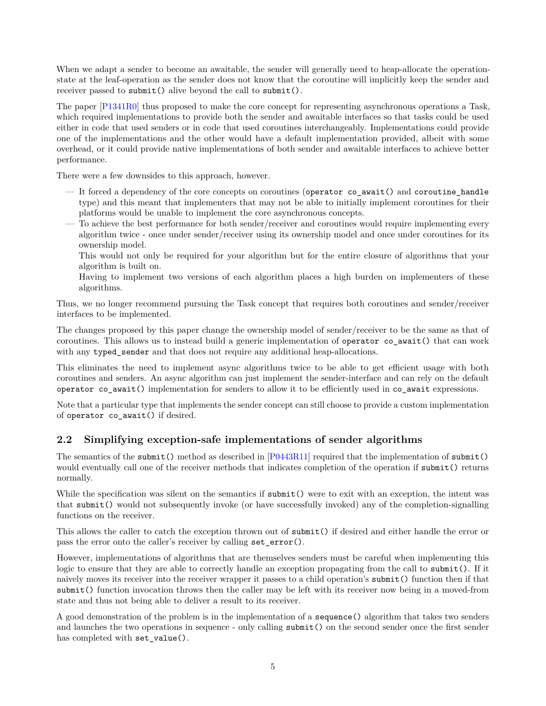When we adapt a sender to become an awaitable, the sender will generally need to heap-allocate the operationstate at the leaf-operation as the sender does not know that the coroutine will implicitly keep the sender and receiver passed to submit() alive beyond the call to submit().

The paper [\[P1341R0\]](#page-31-2) thus proposed to make the core concept for representing asynchronous operations a Task, which required implementations to provide both the sender and awaitable interfaces so that tasks could be used either in code that used senders or in code that used coroutines interchangeably. Implementations could provide one of the implementations and the other would have a default implementation provided, albeit with some overhead, or it could provide native implementations of both sender and awaitable interfaces to achieve better performance.

There were a few downsides to this approach, however.

- It forced a dependency of the core concepts on coroutines (operator co\_await() and coroutine\_handle type) and this meant that implementers that may not be able to initially implement coroutines for their platforms would be unable to implement the core asynchronous concepts.
- To achieve the best performance for both sender/receiver and coroutines would require implementing every algorithm twice - once under sender/receiver using its ownership model and once under coroutines for its ownership model.

This would not only be required for your algorithm but for the entire closure of algorithms that your algorithm is built on.

Having to implement two versions of each algorithm places a high burden on implementers of these algorithms.

Thus, we no longer recommend pursuing the Task concept that requires both coroutines and sender/receiver interfaces to be implemented.

The changes proposed by this paper change the ownership model of sender/receiver to be the same as that of coroutines. This allows us to instead build a generic implementation of operator co\_await() that can work with any typed\_sender and that does not require any additional heap-allocations.

This eliminates the need to implement async algorithms twice to be able to get efficient usage with both coroutines and senders. An async algorithm can just implement the sender-interface and can rely on the default operator co\_await() implementation for senders to allow it to be efficiently used in co\_await expressions.

Note that a particular type that implements the sender concept can still choose to provide a custom implementation of operator co\_await() if desired.

### **2.2 Simplifying exception-safe implementations of sender algorithms**

The semantics of the submit() method as described in [\[P0443R11\]](#page-31-0) required that the implementation of submit() would eventually call one of the receiver methods that indicates completion of the operation if submit() returns normally.

While the specification was silent on the semantics if submit() were to exit with an exception, the intent was that submit() would not subsequently invoke (or have successfully invoked) any of the completion-signalling functions on the receiver.

This allows the caller to catch the exception thrown out of submit() if desired and either handle the error or pass the error onto the caller's receiver by calling set\_error().

However, implementations of algorithms that are themselves senders must be careful when implementing this logic to ensure that they are able to correctly handle an exception propagating from the call to submit(). If it naively moves its receiver into the receiver wrapper it passes to a child operation's submit() function then if that submit() function invocation throws then the caller may be left with its receiver now being in a moved-from state and thus not being able to deliver a result to its receiver.

A good demonstration of the problem is in the implementation of a sequence() algorithm that takes two senders and launches the two operations in sequence - only calling submit() on the second sender once the first sender has completed with set\_value().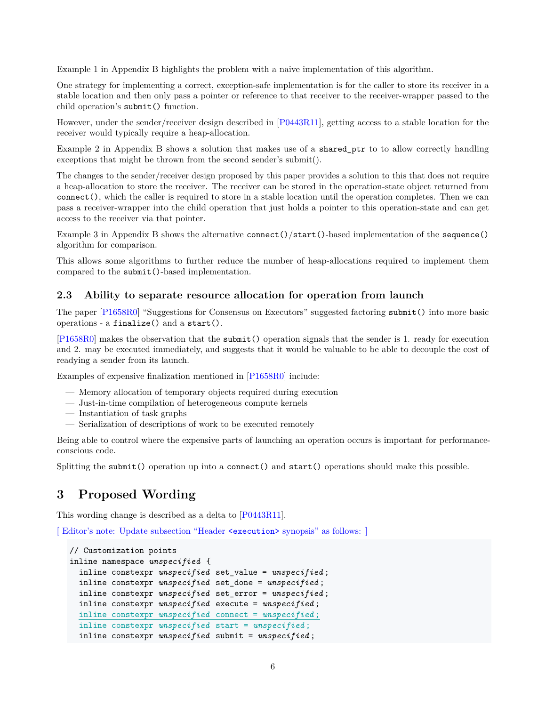Example 1 in Appendix B highlights the problem with a naive implementation of this algorithm.

One strategy for implementing a correct, exception-safe implementation is for the caller to store its receiver in a stable location and then only pass a pointer or reference to that receiver to the receiver-wrapper passed to the child operation's submit() function.

However, under the sender/receiver design described in [\[P0443R11\]](#page-31-0), getting access to a stable location for the receiver would typically require a heap-allocation.

Example 2 in Appendix B shows a solution that makes use of a shared\_ptr to to allow correctly handling exceptions that might be thrown from the second sender's submit().

The changes to the sender/receiver design proposed by this paper provides a solution to this that does not require a heap-allocation to store the receiver. The receiver can be stored in the operation-state object returned from connect(), which the caller is required to store in a stable location until the operation completes. Then we can pass a receiver-wrapper into the child operation that just holds a pointer to this operation-state and can get access to the receiver via that pointer.

Example 3 in Appendix B shows the alternative connect()/start()-based implementation of the sequence() algorithm for comparison.

This allows some algorithms to further reduce the number of heap-allocations required to implement them compared to the submit()-based implementation.

#### **2.3 Ability to separate resource allocation for operation from launch**

The paper [\[P1658R0\]](#page-31-1) "Suggestions for Consensus on Executors" suggested factoring submit() into more basic operations - a finalize() and a start().

[\[P1658R0\]](#page-31-1) makes the observation that the submit() operation signals that the sender is 1. ready for execution and 2. may be executed immediately, and suggests that it would be valuable to be able to decouple the cost of readying a sender from its launch.

Examples of expensive finalization mentioned in [\[P1658R0\]](#page-31-1) include:

- Memory allocation of temporary objects required during execution
- Just-in-time compilation of heterogeneous compute kernels
- Instantiation of task graphs
- Serialization of descriptions of work to be executed remotely

Being able to control where the expensive parts of launching an operation occurs is important for performanceconscious code.

Splitting the submit() operation up into a connect() and start() operations should make this possible.

# **3 Proposed Wording**

This wording change is described as a delta to [\[P0443R11\]](#page-31-0).

[ Editor's note: Update subsection "Header <execution> synopsis" as follows: ]

```
// Customization points
inline namespace unspecified {
  inline constexpr unspecified set_value = unspecified ;
  inline constexpr unspecified set_done = unspecified ;
  inline constexpr unspecified set_error = unspecified ;
  inline constexpr unspecified execute = unspecified ;
  inline constexpr unspecified connect = unspecified ;
  inline constexpr unspecified start = unspecified ;
  inline constexpr unspecified submit = unspecified ;
```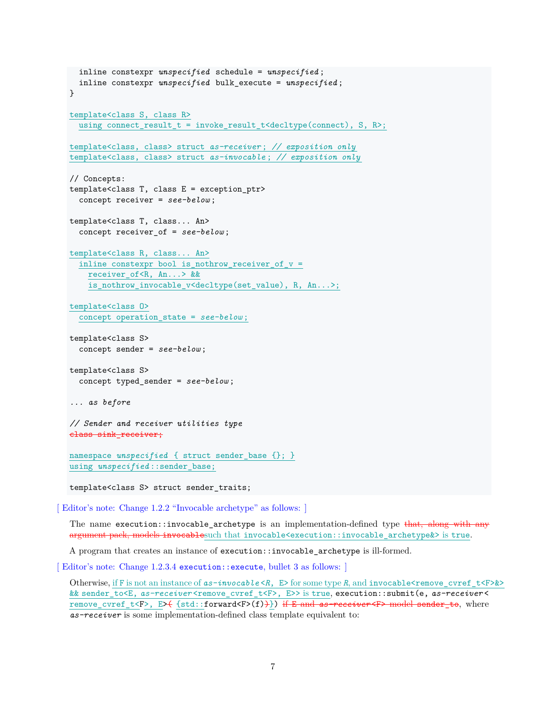```
inline constexpr unspecified schedule = unspecified ;
 inline constexpr unspecified bulk_execute = unspecified ;
}
template<class S, class R>
  using connect_result_t = invoke_result_t<decltype(connect), S, R>;
template<class, class> struct as-receiver ; // exposition only
template<class, class> struct as-invocable ; // exposition only
// Concepts:
template<class T, class E = exception_ptr>
  concept receiver = see-below ;
template<class T, class... An>
  concept receiver_of = see-below ;
template<class R, class... An>
  inline constexpr bool is_nothrow_receiver_of_v =
    receiver_of<R, An...> &&
    is_nothrow_invocable_v<decltype(set_value), R, An...>;
template<class O>
  concept operation_state = see-below ;
template<class S>
  concept sender = see-below ;
template<class S>
  concept typed_sender = see-below ;
... as before
// Sender and receiver utilities type
class sink_receiver;
namespace unspecified { struct sender_base {}; }
using unspecified ::sender_base;
template<class S> struct sender_traits;
```
[ Editor's note: Change 1.2.2 "Invocable archetype" as follows: ]

The name execution::invocable\_archetype is an implementation-defined type that, along with any argument pack, models invocablesuch that invocable<execution::invocable\_archetype&> is true.

A program that creates an instance of execution::invocable\_archetype is ill-formed.

[Editor's note: Change 1.2.3.4 execution::execute, bullet 3 as follows:

Otherwise, if F is not an instance of  $as-invocable \lt R$ , E> for some type R, and invocable $\lt$ remove\_cvref\_t $\lt F\gt\&\gt$ && sender\_to<E, *as-receiver* <remove\_cvref\_t<F>, E>> is true, execution::submit(e, *as-receiver* < remove\_cvref\_t<F>, E> $\{\text{std}:\text{forward}\leq\text{F}\}$ ) if E and as-receiver<F> model sender to, where *as-receiver* is some implementation-defined class template equivalent to: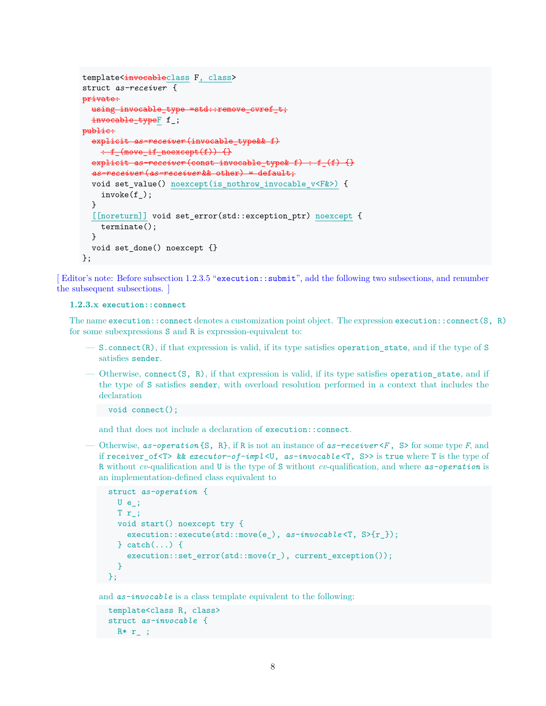```
template<invocableclass F, class>
struct as-receiver {
private:
 using invocable_type =std::remove_cvref_t;
  invocable typeF f ;
public:
  explicit as-receiver (invocable_type&& f)
    \div f_{\text{move} if \text{noexcept}(f)} \explicit as-receiver (const invocable_type& f) : f_(f) {}
  as-receiver (as-receiver && other) = default;
  void set value() noexcept(is nothrow invocable v<F&>) {
    invoke(f_);
  }
  [[noreturn]] void set_error(std::exception_ptr) noexcept {
    terminate();
 }
  void set_done() noexcept {}
};
```
[Editor's note: Before subsection 1.2.3.5 "execution::submit", add the following two subsections, and renumber the subsequent subsections. ]

#### **1.2.3.x execution::connect**

The name execution::connect denotes a customization point object. The expression execution::connect(S, R) for some subexpressions S and R is expression-equivalent to:

- S.connect(R), if that expression is valid, if its type satisfies operation\_state, and if the type of S satisfies sender.
- Otherwise, connect( $S$ ,  $R$ ), if that expression is valid, if its type satisfies operation state, and if the type of S satisfies sender, with overload resolution performed in a context that includes the declaration

void connect();

and that does not include a declaration of execution::connect.

— Otherwise, *as-operation* {S, R}, if R is not an instance of *as-receiver* <*F* , S> for some type *F*, and if receiver\_of<T> && *executor-of-impl* <U, *as-invocable* <T, S>> is true where T is the type of R without *cv*-qualification and U is the type of S without *cv*-qualification, and where *as-operation* is an implementation-defined class equivalent to

```
struct as-operation {
  U e;
  T r_;
  void start() noexcept try {
    execution::execute(std::move(e_), as-invocable <T, S>{r_});
  } catch(...) {
    execution::set_error(std::move(r), current exception());
  }
};
```
and  $as-invocab$  is a class template equivalent to the following:

```
template<class R, class>
 struct as-invocable {
R* r_{-};
```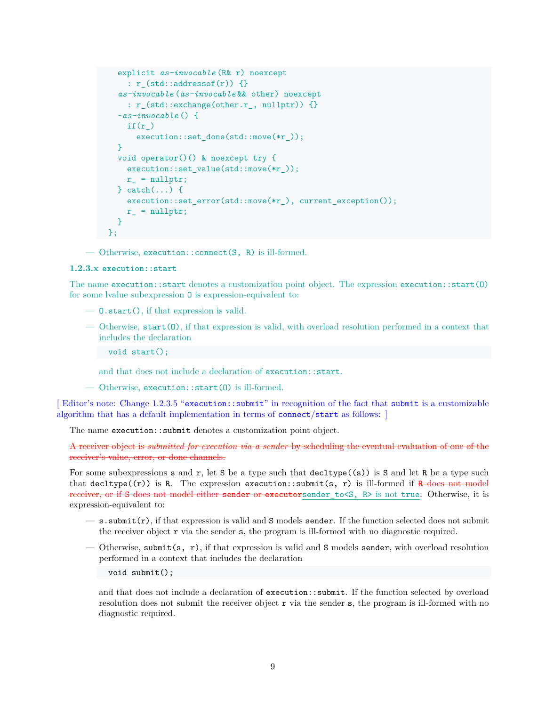```
explicit as-invocable (R& r) noexcept
    : r_{\text{1}}(std::addressof(r)) {}
  as-invocable (as-invocable && other) noexcept
    : r_(std::exchange(other.r_, nullptr)) {}
  ~as-invocable () {
    if(r_)
      execution::set_done(std::move(*r_));
  }
  void operator()() & noexcept try {
    execution::set_value(std::move(*r_));
    r = nullptr;} catch(...) {
    execution::set_error(std::move(*r_), current_exception());
    r_{-} = nullptr;
  }
};
```
— Otherwise, execution::connect(S, R) is ill-formed.

#### **1.2.3.x execution::start**

The name execution::start denotes a customization point object. The expression execution::start(O) for some lvalue subexpression O is expression-equivalent to:

- O.start(), if that expression is valid.
- Otherwise, start(O), if that expression is valid, with overload resolution performed in a context that includes the declaration
	- void start();

and that does not include a declaration of execution::start.

— Otherwise, execution::start(O) is ill-formed.

[Editor's note: Change 1.2.3.5 "execution::submit" in recognition of the fact that submit is a customizable algorithm that has a default implementation in terms of connect/start as follows: ]

The name execution::submit denotes a customization point object.

A receiver object is *submitted for execution via a sender* by scheduling the eventual evaluation of one of the receiver's value, error, or done channels.

For some subexpressions s and r, let S be a type such that  $\text{decltype}((s))$  is S and let R be a type such that decltype( $(r)$ ) is R. The expression execution::submit(s, r) is ill-formed if R does not model receiver, or if S does not model either sender or executorsender\_to<S, R> is not true. Otherwise, it is expression-equivalent to:

- $-$  s. submit(r), if that expression is valid and S models sender. If the function selected does not submit the receiver object r via the sender s, the program is ill-formed with no diagnostic required.
- Otherwise, submit(s, r), if that expression is valid and S models sender, with overload resolution performed in a context that includes the declaration
	- void submit();

and that does not include a declaration of execution::submit. If the function selected by overload resolution does not submit the receiver object  $r$  via the sender  $s$ , the program is ill-formed with no diagnostic required.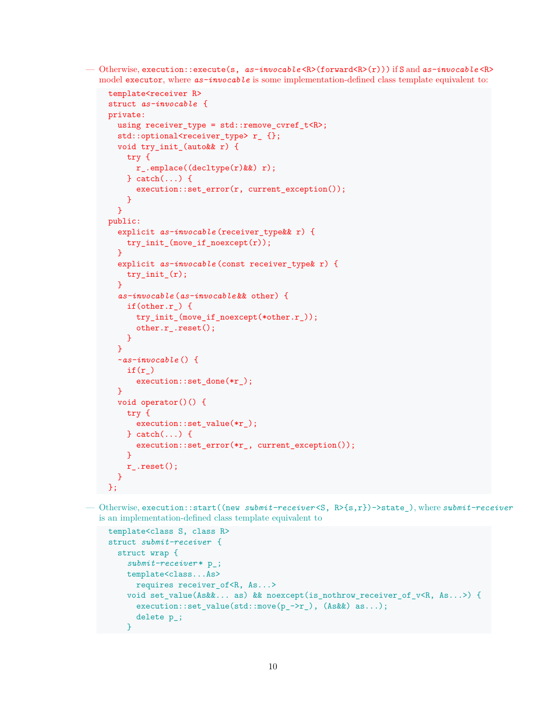— Otherwise, execution::execute(s, *as-invocable* <R>(forward<R>(r))) if S and *as-invocable* <R> model executor, where *as-invocable* is some implementation-defined class template equivalent to:

```
template<receiver R>
struct as-invocable {
private:
  using receiver_type = std::remove_cvref_t<R>;
  std::optional<receiver_type> r_{};
  void try_init_(auto&& r) {
    try {
      r_.emplace((decltype(r)&&) r);
    } catch(...) {
      execution::set_error(r, current_exception());
    }
  }
public:
  explicit as-invocable (receiver_type&& r) {
    try_init_(move_if_noexcept(r));
  }
  explicit as-invocable (const receiver_type& r) {
    try_init_(r);
  }
  as-invocable (as-invocable && other) {
   if(other.r) {
      try_init_(move_if_noexcept(*other.r_));
      other.r_.reset();
    }
  }
  ~as-invocable () {
    if(r_)
      execution::set_done(*r_);
  \mathcal{L}void operator()() {
    try {
      execution::set_value(*r_);
    } catch(...) {
      execution::set_error(*r_, current_exception());
    }
    r_.reset();
  }
};
```
— Otherwise, execution::start((new *submit-receiver* <S, R>{s,r})->state\_), where *submit-receiver* is an implementation-defined class template equivalent to

```
template<class S, class R>
struct submit-receiver {
  struct wrap {
    submit-receiver * p_;
    template<class...As>
      requires receiver_of<R, As...>
    void set_value(As&&... as) && noexcept(is_nothrow_receiver_of_v<R, As...>) {
      execution::set_value(std::move(p_->r_), (As&&) as...);
      delete p_;
    }
```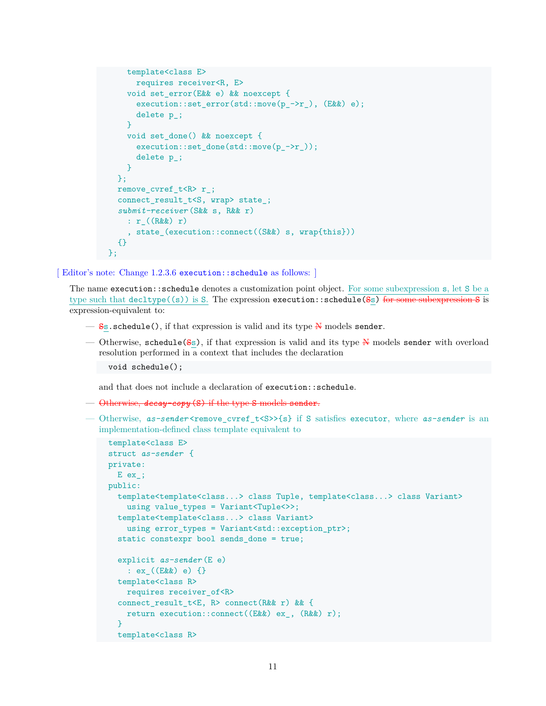```
template<class E>
      requires receiver<R, E>
    void set_error(E&& e) && noexcept {
      execution::set_error(std::move(p_->r_), (E&&) e);
      delete p_;
    }
   void set_done() && noexcept {
      execution::set_done(std::move(p_->r_));
      delete p_;
    }
  };
  remove_cvref_t<R> r_;
  connect result t<S, wrap> state ;
  submit-receiver (S&& s, R&& r)
    : r_((R&&) r)
    , state_(execution::connect((S&&) s, wrap{this}))
  {}
};
```
#### [ Editor's note: Change 1.2.3.6 execution::schedule as follows: ]

The name execution::schedule denotes a customization point object. For some subexpression s, let S be a type such that  $\text{decitype}((s))$  is S. The expression execution::schedule(Ss) for some subexpression S is expression-equivalent to:

- $\frac{S}{s}$ . schedule(), if that expression is valid and its type  $\frac{N}{s}$  models sender.
- Otherwise, schedule( $S<sub>s</sub>$ ), if that expression is valid and its type N models sender with overload resolution performed in a context that includes the declaration

void schedule();

and that does not include a declaration of execution::schedule.

- Otherwise, *decay-copy* (S) if the type S models sender.
- Otherwise, *as-sender* <remove cvref t<S>>{s} if S satisfies executor, where *as-sender* is an implementation-defined class template equivalent to

```
template<class E>
struct as-sender {
private:
 E ex_;
public:
  template<template<class...> class Tuple, template<class...> class Variant>
   using value_types = Variant<Tuple<>>;
  template<template<class...> class Variant>
    using error_types = Variant<std::exception_ptr>;
  static constexpr bool sends_done = true;
  explicit as-sender (E e)
    : ex_((E&&) e) {}
  template<class R>
   requires receiver_of<R>
  connect_result_t<E, R> connect(R&& r) && {
   return execution::connect((E&&) ex_, (R&&) r);
  }
  template<class R>
```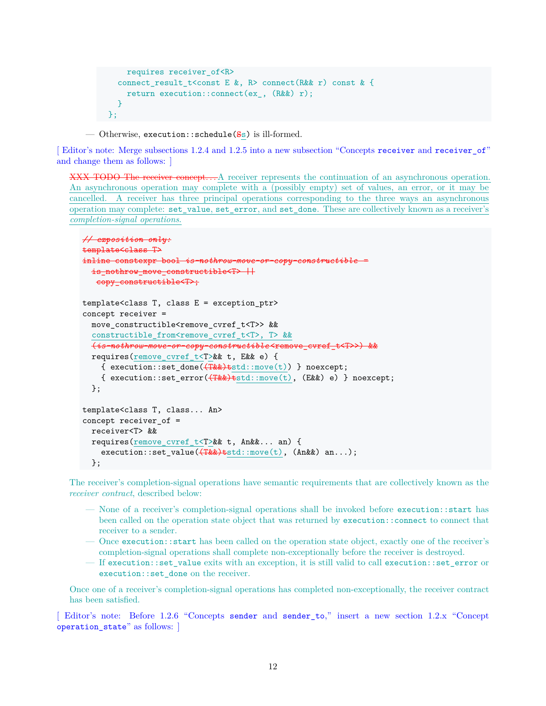```
requires receiver_of<R>
  connect_result_t<const E &, R> connect(R&& r) const & {
    return execution::connect(ex_, (R&&) r);
  }
};
```
— Otherwise, execution::schedule( $S<sub>S</sub>$ ) is ill-formed.

[ Editor's note: Merge subsections 1.2.4 and 1.2.5 into a new subsection "Concepts receiver and receiver\_of" and change them as follows: ]

XXX TODO The receiver concept. . . A receiver represents the continuation of an asynchronous operation. An asynchronous operation may complete with a (possibly empty) set of values, an error, or it may be cancelled. A receiver has three principal operations corresponding to the three ways an asynchronous operation may complete: set\_value, set\_error, and set\_done. These are collectively known as a receiver's *completion-signal operations*.

```
// exposition only:
template<class T>
inline constexpr bool is-nothrow
  is_nothrow_move_constructible<T> ||copy_constructible<T>;
template<class T, class E = exception_ptr>
concept receiver =
  move_constructible<remove_cvref_t<T>> &&
  constructible_from<remove_cvref_t<T>, T> &&
  (is-nothrow-move-or-copy-constructible <remove_cvref_t<T>>) &&
  requires(remove_cvref_t<T>&& t, E&& e) {
    { execution::set_done(\overbrace{\text{Take}})tstd::move(t)) } noexcept;
    { execution::set_error(\overbrace{(\text{Take})\text{ test}}::move(t), (E&&) e) } noexcept;
  };
template<class T, class... An>
concept receiver_of =
  receiver<T> &&
  requires(remove_cvref_t<T>&& t, An&&... an) {
    execution::set_value(\overbrace{T\&\&}<sup>tstd::move(t), (An\&\&) an...);</sup>
  };
```
The receiver's completion-signal operations have semantic requirements that are collectively known as the *receiver contract*, described below:

- None of a receiver's completion-signal operations shall be invoked before execution::start has been called on the operation state object that was returned by execution::connect to connect that receiver to a sender.
- Once execution::start has been called on the operation state object, exactly one of the receiver's completion-signal operations shall complete non-exceptionally before the receiver is destroyed.
- If execution::set\_value exits with an exception, it is still valid to call execution::set\_error or execution::set\_done on the receiver.

Once one of a receiver's completion-signal operations has completed non-exceptionally, the receiver contract has been satisfied.

[ Editor's note: Before 1.2.6 "Concepts sender and sender\_to," insert a new section 1.2.x "Concept operation\_state" as follows: ]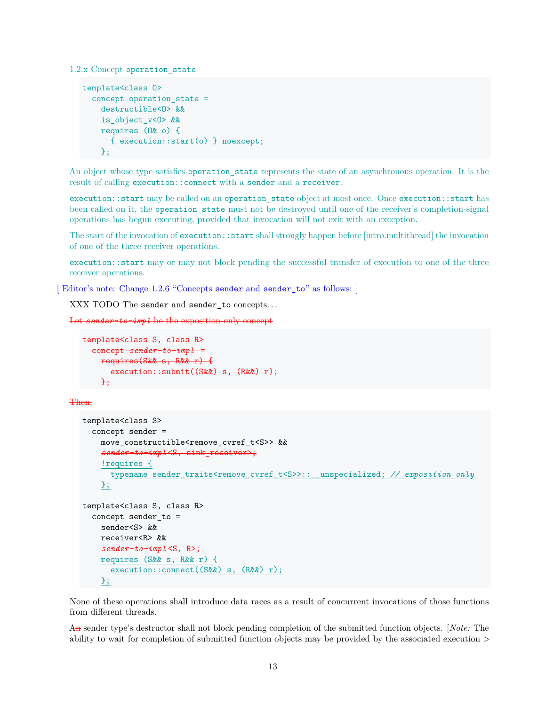1.2.x Concept operation\_state

```
template<class O>
  concept operation_state =
   destructible<O> &&
   is_object_v<O> &&
   requires (O& o) {
      { execution::start(o) } noexcept;
   };
```
An object whose type satisfies operation\_state represents the state of an asynchronous operation. It is the result of calling execution::connect with a sender and a receiver.

execution::start may be called on an operation\_state object at most once. Once execution::start has been called on it, the operation\_state must not be destroyed until one of the receiver's completion-signal operations has begun executing, provided that invocation will not exit with an exception.

The start of the invocation of execution::start shall strongly happen before [intro.multithread] the invocation of one of the three receiver operations.

execution::start may or may not block pending the successful transfer of execution to one of the three receiver operations.

[Editor's note: Change 1.2.6 "Concepts sender and sender\_to" as follows: ]

XXX TODO The sender and sender\_to concepts. . .

```
Let sender-to-impl be the exposition-only concept
```

```
template<class S, class R>
  concept sender-to-impl =
   requires(S&& s, R&& r) {
      execution::submit((S&&) s, (R&&) r);
    };
```
Then,

```
template<class S>
  concept sender =
   move_constructible<remove_cvref_t<S>> &&
   sender-to-impl <S, sink_receiver>;
    !requires {
      typename sender_traits<remove_cvref_t<S>::__unspecialized; // exposition only
   };
template<class S, class R>
  concept sender to =sender<S> &&
   receiver<R> &&
   sender-to-impl <S, R>;
    requires (S&& s, R&& r) {
      execution::connect((S&&) s, (R&&) r);
   };
```
None of these operations shall introduce data races as a result of concurrent invocations of those functions from different threads.

An sender type's destructor shall not block pending completion of the submitted function objects. [*Note:* The ability to wait for completion of submitted function objects may be provided by the associated execution >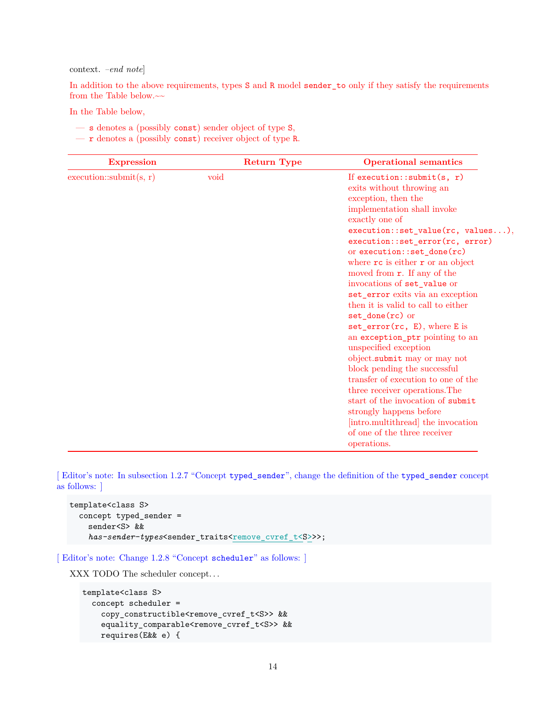#### context. *–end note*]

In addition to the above requirements, types S and R model sender\_to only if they satisfy the requirements from the Table below.<br> $\sim$ 

In the Table below,

- s denotes a (possibly const) sender object of type S,
- r denotes a (possibly const) receiver object of type R.

| <b>Expression</b>       | <b>Return Type</b> | <b>Operational semantics</b>                                                                                                                                                                                                                                                                                                                                                                                                                                                                                                                                                               |
|-------------------------|--------------------|--------------------------------------------------------------------------------------------------------------------------------------------------------------------------------------------------------------------------------------------------------------------------------------------------------------------------------------------------------------------------------------------------------------------------------------------------------------------------------------------------------------------------------------------------------------------------------------------|
| execution::submit(s, r) | void               | If execution:: submit(s, $r$ )<br>exits without throwing an<br>exception, then the<br>implementation shall invoke<br>exactly one of<br>$execution::set_value(rc, values),$<br>execution::set_error(rc, error)<br>or execution::set_done(rc)<br>where rc is either r or an object<br>moved from $\mathbf{r}$ . If any of the<br>invocations of set_value or<br>set_error exits via an exception<br>then it is valid to call to either<br>$set_{done}(rc)$ or<br>$set_error(rc, E)$ , where E is<br>an exception_ptr pointing to an<br>unspecified exception<br>object.submit may or may not |
|                         |                    | block pending the successful<br>transfer of execution to one of the<br>three receiver operations. The<br>start of the invocation of submit<br>strongly happens before                                                                                                                                                                                                                                                                                                                                                                                                                      |
|                         |                    | [intro.multithread] the invocation<br>of one of the three receiver<br>operations.                                                                                                                                                                                                                                                                                                                                                                                                                                                                                                          |

[ Editor's note: In subsection 1.2.7 "Concept typed\_sender", change the definition of the typed\_sender concept as follows: ]

```
template<class S>
  concept typed_sender =
    sender<S> &&
    has-sender-types<sender_traits<remove_cvref_t<S>>>;
```
[ Editor's note: Change 1.2.8 "Concept scheduler" as follows: ]

XXX TODO The scheduler concept. . .

```
template<class S>
  concept scheduler =
   copy constructible<remove cvref t<S>> &&
   equality_comparable<remove_cvref_t<S>> &&
   requires(E&& e) {
```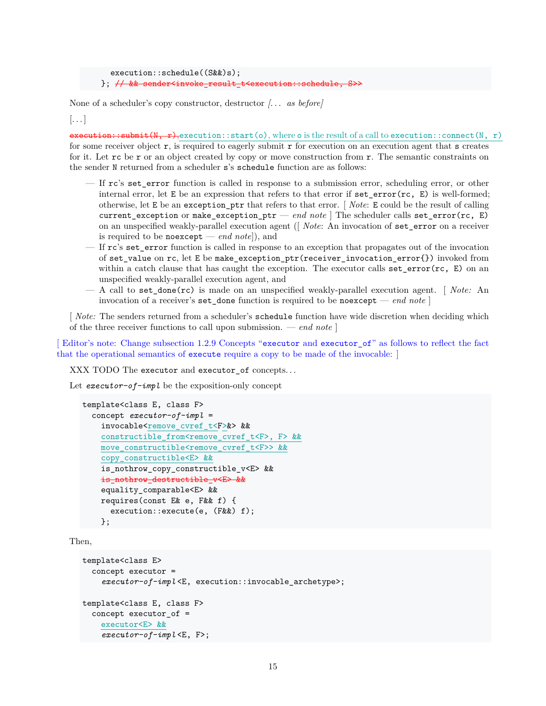```
execution::schedule((S&&)s);
}; \frac{1}{2} && sender<invoke_result_t
```
None of a scheduler's copy constructor, destructor *[. . . as before]*

 $\left[ \ldots \right]$ 

 ${\bf execution::submit}(N, r)$ , execution::start(o), where o is the result of a call to execution::connect(N, r) for some receiver object r, is required to eagerly submit r for execution on an execution agent that s creates for it. Let  $\mathbf{r}$  be  $\mathbf{r}$  or an object created by copy or move construction from  $\mathbf{r}$ . The semantic constraints on the sender N returned from a scheduler s's schedule function are as follows:

- If rc's set\_error function is called in response to a submission error, scheduling error, or other internal error, let E be an expression that refers to that error if set\_error(rc, E) is well-formed; otherwise, let E be an exception\_ptr that refers to that error. [ *Note*: E could be the result of calling current\_exception or make\_exception\_ptr — *end note* ] The scheduler calls set\_error(rc, E) on an unspecified weakly-parallel execution agent ([ *Note*: An invocation of set\_error on a receiver is required to be noexcept — *end note*]), and
- $-$  If rc's set error function is called in response to an exception that propagates out of the invocation of set\_value on rc, let E be make\_exception\_ptr(receiver\_invocation\_error{}) invoked from within a catch clause that has caught the exception. The executor calls  $set_error(rc, E)$  on an unspecified weakly-parallel execution agent, and
- A call to set\_done(rc) is made on an unspecified weakly-parallel execution agent. [ *Note:* An invocation of a receiver's set done function is required to be no except — *end note*  $\vert$

[ *Note:* The senders returned from a scheduler's schedule function have wide discretion when deciding which of the three receiver functions to call upon submission. — *end note* ]

[ Editor's note: Change subsection 1.2.9 Concepts "executor and executor\_of" as follows to reflect the fact that the operational semantics of execute require a copy to be made of the invocable: ]

XXX TODO The executor and executor\_of concepts. . .

Let *executor-of-impl* be the exposition-only concept

```
template<class E, class F>
  concept executor-of-impl =
    invocable<remove_cvref_t<F>&> &&
    constructible_from<remove_cvref_t<F>, F> &&
    move_constructible<remove_cvref_t<F>> &&
    copy_constructible<E> &&
    is_nothrow_copy_constructible_v<E> &&
    is_nothrow_destructible_v<E> &&
    equality_comparable<E> &&
    requires(const E& e, F&& f) {
      execution::execute(e, (F&&) f);
   };
```
Then,

```
template<class E>
  concept executor =
    executor-of-impl <E, execution::invocable_archetype>;
template<class E, class F>
  concept executor_of =
    executor<E> &&
    executor-of-impl <E, F>;
```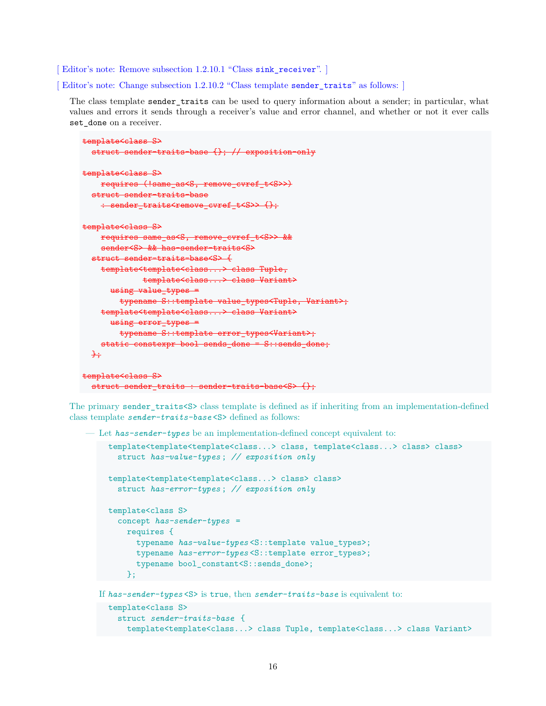[Editor's note: Remove subsection 1.2.10.1 "Class sink\_receiver". ]

[ Editor's note: Change subsection 1.2.10.2 "Class template sender\_traits" as follows: ]

The class template sender\_traits can be used to query information about a sender; in particular, what values and errors it sends through a receiver's value and error channel, and whether or not it ever calls set\_done on a receiver.

```
template<class S>
  struct sender-traits-base {}; // exposition-only
template<class S>
   requires (!same_as<S, remove_cvref_t<S>>)
  struct sender-traits-base
    : sender_traits<remove_cvref_t<S>> {};
template<class S>
   requires same as<S, remove cvref t<S>> &&
    sender<S> && has-sender-traits<S>
  struct sender-traits-base<S> {
   template<template<class...> class Tuple,
            template<class...> class Variant>
      using value_typeg =
        typename S::template value types<Tuple, Variant>;
   template<template<class...> class Variant>
      using error types =typename S::template error_types<Variant>;
    static constexpr bool sends done = S::sends done;
  +
```

```
template<class S>
  struct sender traits : sender-traits-base<S> {};
```
The primary sender\_traits<S> class template is defined as if inheriting from an implementation-defined class template *sender-traits-base* <S> defined as follows:

— Let *has-sender-types* be an implementation-defined concept equivalent to:

```
template<template<template<class...> class, template<class...> class> class>
  struct has-value-types ; // exposition only
template<template<template<class...> class> class>
  struct has-error-types ; // exposition only
template<class S>
  concept has-sender-types =
    requires {
      typename has-value-types <S::template value_types>;
      typename has-error-types <S::template error_types>;
      typename bool_constant<S::sends_done>;
    };
```
If *has-sender-types* <S> is true, then *sender-traits-base* is equivalent to:

```
template<class S>
  struct sender-traits-base {
    template<template<class...> class Tuple, template<class...> class Variant>
```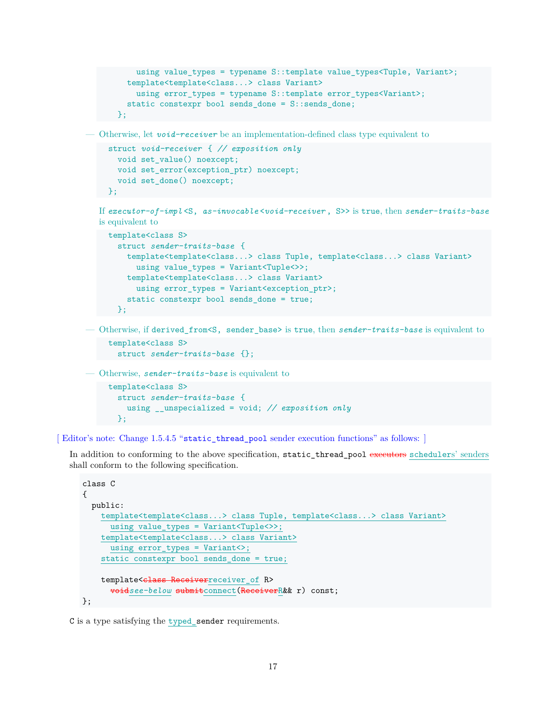```
using value_types = typename S::template value_types<Tuple, Variant>;
  template<template<class...> class Variant>
    using error_types = typename S::template error_types<Variant>;
  static constexpr bool sends_done = S::sends_done;
};
```
— Otherwise, let *void-receiver* be an implementation-defined class type equivalent to

```
struct void-receiver { // exposition only
  void set value() noexcept;
  void set error(exception ptr) noexcept;
  void set_done() noexcept;
};
```
If *executor-of-impl* <S, *as-invocable* <*void-receiver* , S>> is true, then *sender-traits-base* is equivalent to

```
template<class S>
  struct sender-traits-base {
    template<template<class...> class Tuple, template<class...> class Variant>
      using value_types = Variant<Tuple<>>;
    template<template<class...> class Variant>
      using error_types = Variant<exception_ptr>;
    static constexpr bool sends_done = true;
  };
```
— Otherwise, if derived\_from<S, sender\_base> is true, then *sender-traits-base* is equivalent to

```
template<class S>
  struct sender-traits-base {};
```
— Otherwise, *sender-traits-base* is equivalent to

```
template<class S>
  struct sender-traits-base {
    using __unspecialized = void; // exposition only
  };
```
[Editor's note: Change 1.5.4.5 "static thread pool sender execution functions" as follows: ]

In addition to conforming to the above specification, static\_thread\_pool executors schedulers' senders shall conform to the following specification.

```
class C
{
  public:
    template<template<class...> class Tuple, template<class...> class Variant>
      using value_types = Variant<Tuple<>>;
   template<template<class...> class Variant>
      using error_types = Variant<>;
    static constexpr bool sends_done = true;
   template<class Receiverreceiver of R>
      voidsee-below submitconnect(ReceiverR&& r) const;
};
```
C is a type satisfying the typed sender requirements.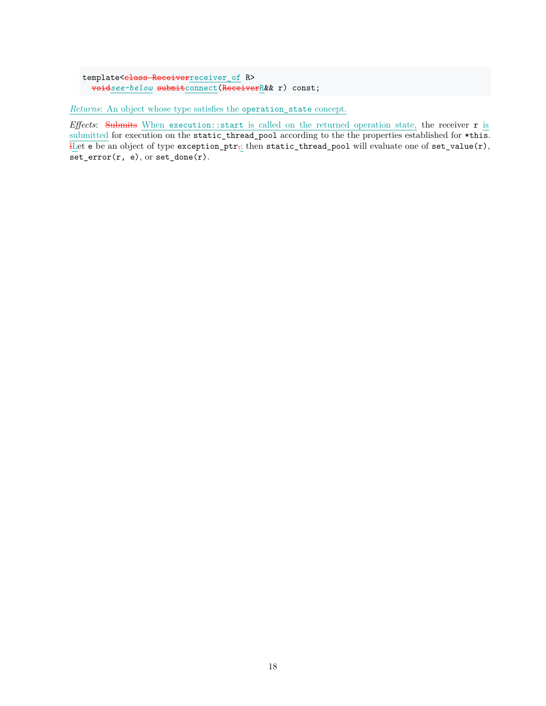```
template<class Receiverreceiver_of R>
 voidsee-below submitconnect(ReceiverR&& r) const;
```
*Returns*: An object whose type satisfies the operation\_state concept.

*Effects*: Submits When execution::start is called on the returned operation state, the receiver r is submitted for execution on the static\_thread\_pool according to the the properties established for \*this. Let e be an object of type exception\_ptr<sub> $\bar{t_1}$ </sub> then static\_thread\_pool will evaluate one of set\_value(r),  $set_error(r, e),$  or  $set\_done(r)$ .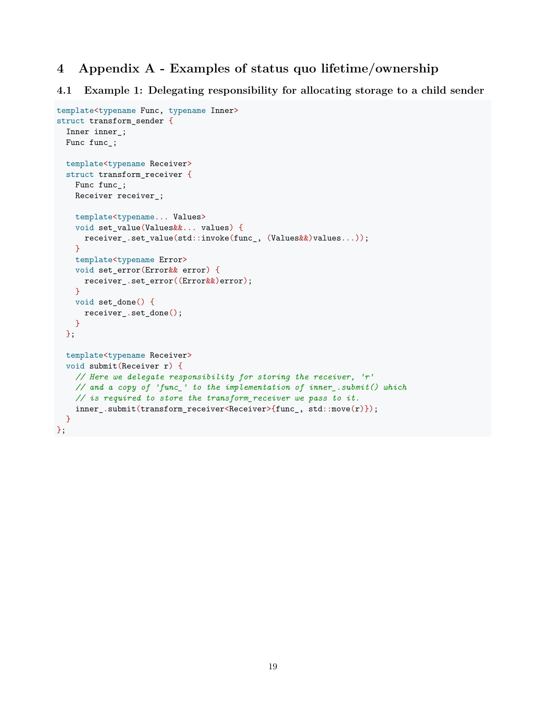# **4 Appendix A - Examples of status quo lifetime/ownership**

### **4.1 Example 1: Delegating responsibility for allocating storage to a child sender**

```
template<typename Func, typename Inner>
struct transform_sender {
  Inner inner_;
 Func func_;
  template<typename Receiver>
  struct transform_receiver {
    Func func_;
    Receiver receiver_;
    template<typename... Values>
    void set_value(Values&&... values) {
      receiver_.set_value(std::invoke(func_, (Values&&)values...));
    \mathbf{r}template<typename Error>
    void set_error(Error&& error) {
      receiver_.set_error((Error&&)error);
    }
   void set_done() {
      receiver_.set_done();
    }
  };
  template<typename Receiver>
  void submit(Receiver r) {
    // Here we delegate responsibility for storing the receiver, 'r'
    // and a copy of 'func_' to the implementation of inner_.submit() which
    // is required to store the transform_receiver we pass to it.
    inner_.submit(transform_receiver<Receiver>{func_, std::move(r)});
  }
};
```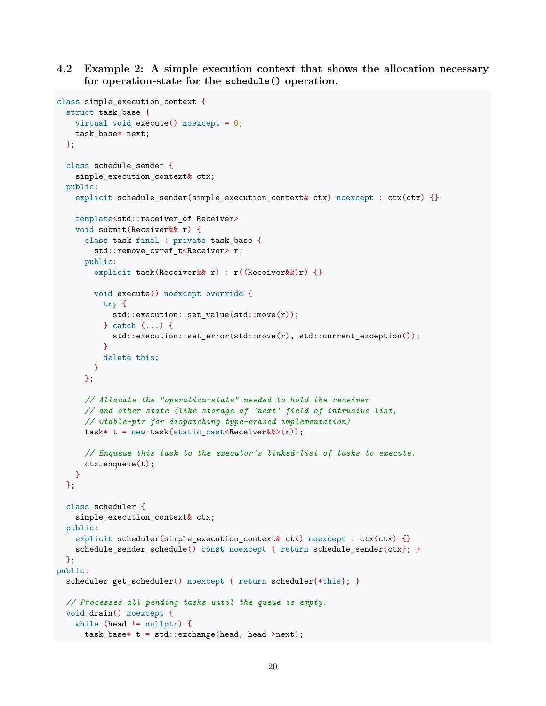**4.2 Example 2: A simple execution context that shows the allocation necessary for operation-state for the schedule() operation.**

```
class simple_execution_context {
  struct task_base {
   virtual void execute() noexcept = 0;
   task base* next;
 };
  class schedule_sender {
   simple_execution_context& ctx;
 public:
   explicit schedule_sender(simple_execution_context& ctx) noexcept : ctx(ctx) {}
   template<std::receiver of Receiver>
   void submit(Receiver&& r) {
      class task final : private task_base {
        std::remove_cvref_t<Receiver> r;
     public:
        explicit task(Receiver&& r) : r((Receiver&&)r) {}
        void execute() noexcept override {
         try {
            std::execution::set_value(std::move(r));
          } catch (...) {
            std::execution::set_error(std::move(r), std::current_exception());
         }
         delete this;
        }
      };
      // Allocate the "operation-state" needed to hold the receiver
      // and other state (like storage of 'next' field of intrusive list,
      // vtable-ptr for dispatching type-erased implementation)
      task* t = new task{static\_cast < Receiver&\rangle(r);
      // Enqueue this task to the executor's linked-list of tasks to execute.
      ctx.enqueue(t);
   }
 };
  class scheduler {
   simple execution context& ctx;
 public:
   explicit scheduler(simple_execution_context& ctx) noexcept : ctx(ctx) {}
   schedule_sender schedule() const noexcept { return schedule_sender{ctx}; }
 };
public:
 scheduler get scheduler() noexcept { return scheduler{*this}; }
  // Processes all pending tasks until the queue is empty.
 void drain() noexcept {
   while (head != nullptr) {
      task_base* t = std::exchange(head, head->next);
```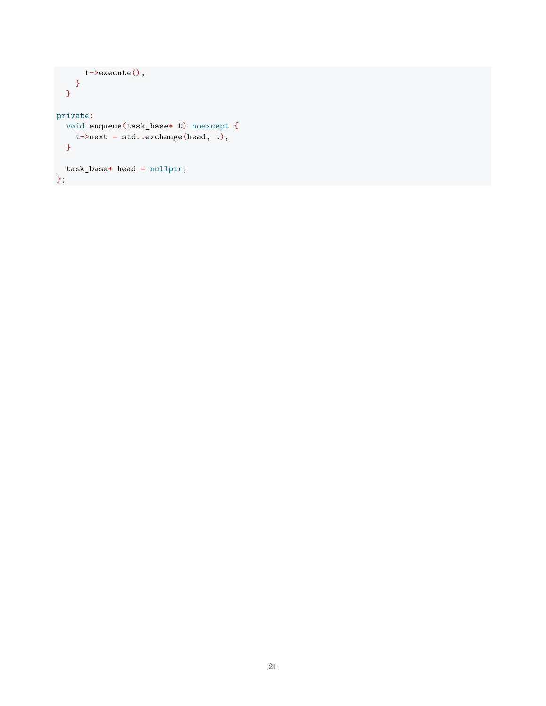```
t->execute();
    }
}
private:
 void enqueue(task_base* t) noexcept {
  t->next = std::exchange(head, t);
 }
 task_base* head = nullptr;
};
```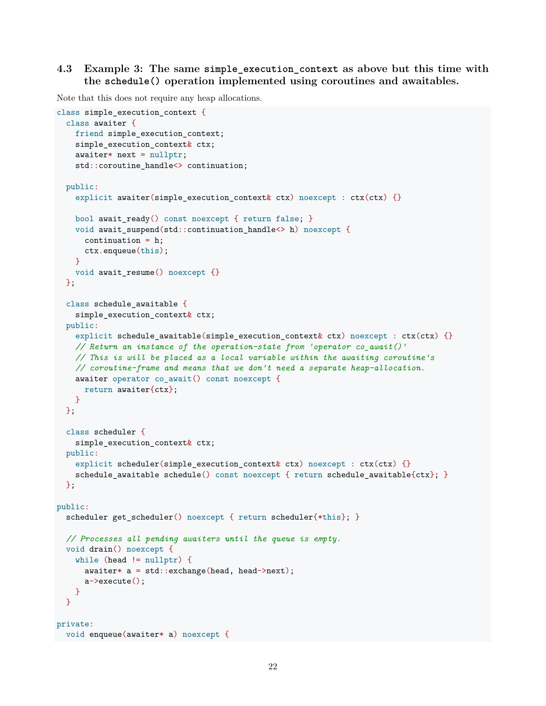# **4.3 Example 3: The same simple\_execution\_context as above but this time with the schedule() operation implemented using coroutines and awaitables.**

Note that this does not require any heap allocations.

```
class simple_execution_context {
  class awaiter {
    friend simple execution context;
    simple_execution_context& ctx;
    awaiter* next = nullptr;
    std::coroutine_handle<> continuation;
  public:
    explicit awaiter(simple_execution_context& ctx) noexcept : ctx(ctx) {}
    bool await ready() const noexcept { return false; }
    void await_suspend(std::continuation_handle<> h) noexcept {
      continuation = h;
      ctx.enqueue(this);
    }
    void await_resume() noexcept {}
  };
  class schedule_awaitable {
    simple execution context& ctx;
  public:
    explicit schedule awaitable(simple execution context ctx) noexcept : ctx(ctx) {}
    // Return an instance of the operation-state from 'operator co_await()'
    // This is will be placed as a local variable within the awaiting coroutine's
    // coroutine-frame and means that we don't need a separate heap-allocation.
    awaiter operator co_await() const noexcept {
      return awaiter{ctx};
    \mathbf{I}};
  class scheduler {
    simple execution context& ctx;
  public:
    explicit scheduler(simple_execution_context& ctx) noexcept : ctx(ctx) {}
    schedule_awaitable schedule() const noexcept { return schedule_awaitable{ctx}; }
  };
public:
  scheduler get scheduler() noexcept { return scheduler{*this}; }
 // Processes all pending awaiters until the queue is empty.
 void drain() noexcept {
    while (head != nullptr) {
      awaiter* a = std::exchange(head, head->next);
      a->execute();
   }
  }
private:
 void enqueue(awaiter* a) noexcept {
```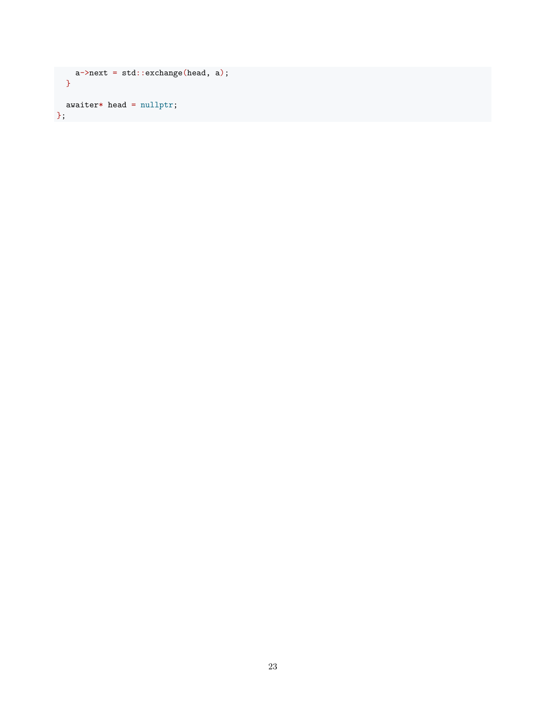```
a->next = std::exchange(head, a);
  }
awaiter* head = nullptr;
};
```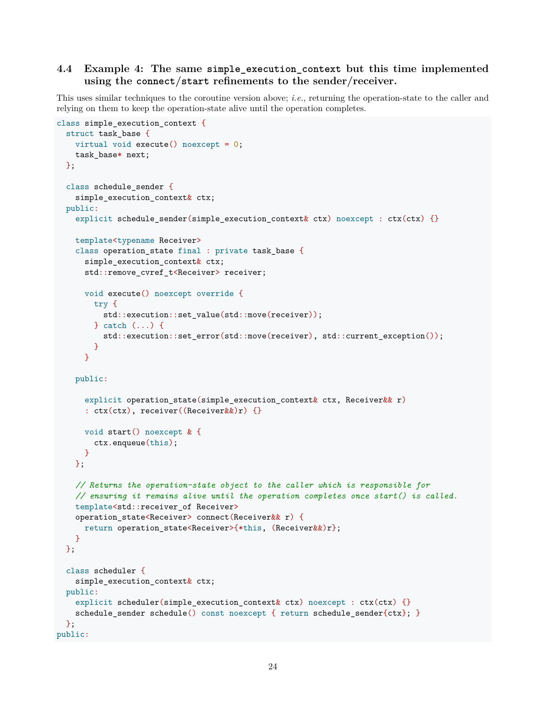# **4.4 Example 4: The same simple\_execution\_context but this time implemented using the connect/start refinements to the sender/receiver.**

This uses similar techniques to the coroutine version above; *i.e.*, returning the operation-state to the caller and relying on them to keep the operation-state alive until the operation completes.

```
class simple_execution_context {
 struct task base {
   virtual void execute() noexcept = 0;
   task base* next;
 };
  class schedule_sender {
    simple_execution_context& ctx;
 public:
   explicit schedule sender(simple execution context& ctx) noexcept : ctx(ctx) {}
   template<typename Receiver>
   class operation_state final : private task_base {
     simple execution context& ctx;
      std::remove_cvref_t<Receiver> receiver;
     void execute() noexcept override {
        try {
          std::execution::set value(std::move(receiver));
        } catch (...) {
          std::execution::set error(std::move(receiver), std::current exception());
       }
     }
   public:
      explicit operation state(simple execution context k ctx, Receiverk r)
      : ctx(ctx), receiver((Receiver&&)r) {}
     void start() noexcept & {
       ctx.enqueue(this);
     }
   \}:
   // Returns the operation-state object to the caller which is responsible for
   // ensuring it remains alive until the operation completes once start() is called.
   template<std::receiver_of Receiver>
   operation state<Receiver> connect(Receiver&& r) {
     return operation_state<Receiver>{*this, (Receiver&&)r};
   }
 };
  class scheduler {
   simple_execution_context& ctx;
 public:
   explicit scheduler(simple_execution_context& ctx) noexcept : ctx(ctx) {}
   schedule_sender schedule() const noexcept { return schedule_sender{ctx}; }
 };
public:
```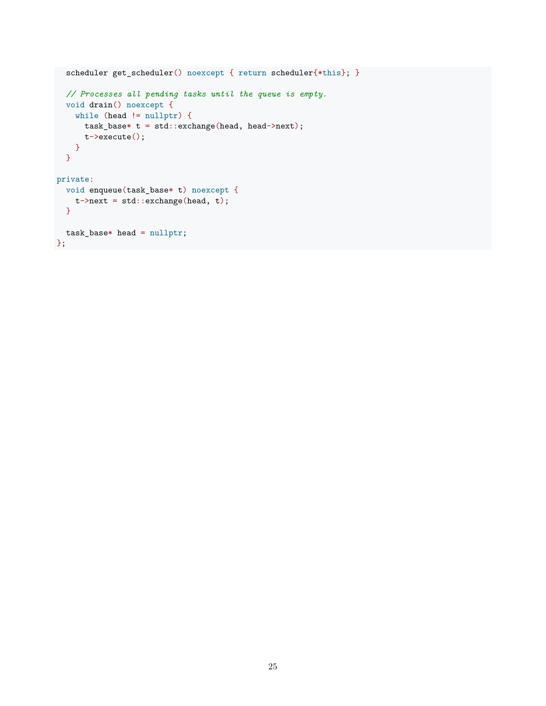```
scheduler get_scheduler() noexcept { return scheduler{*this}; }
  // Processes all pending tasks until the queue is empty.
  void drain() noexcept {
    while (head != nullptr) {
      task_base* t = std::exchange(head, head->next);
     t->execute();
   }
  }
private:
  void enqueue(task_base* t) noexcept {
   t->next = std::exchange(head, t);
  }
 task_base* head = nullptr;
};
```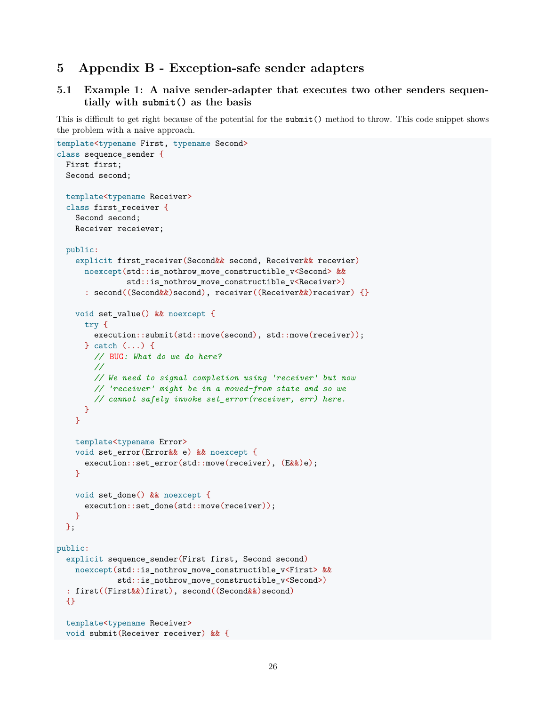# **5 Appendix B - Exception-safe sender adapters**

### **5.1 Example 1: A naive sender-adapter that executes two other senders sequentially with submit() as the basis**

This is difficult to get right because of the potential for the submit() method to throw. This code snippet shows the problem with a naive approach.

```
template<typename First, typename Second>
class sequence_sender {
  First first;
 Second second;
 template<typename Receiver>
  class first receiver {
   Second second;
   Receiver receiever;
 public:
   explicit first_receiver(Second&& second, Receiver&& recevier)
      noexcept(std::is_nothrow_move_constructible_v<Second> &&
               std::is_nothrow_move_constructible_v<Receiver>)
      : second((Second&&)second), receiver((Receiver&&)receiver) {}
   void set_value() && noexcept {
      try {
        execution::submit(std::move(second), std::move(receiver));
      } catch (...) {
       // BUG: What do we do here?
        //
        // We need to signal completion using 'receiver' but now
        // 'receiver' might be in a moved-from state and so we
        // cannot safely invoke set_error(receiver, err) here.
      }
   }
   template<typename Error>
   void set_error(Error&& e) && noexcept {
      execution::set_error(std::move(receiver), (Ek\&)e);
   }
   void set_done() && noexcept {
      execution::set_done(std::move(receiver));
   }
 };
public:
  explicit sequence_sender(First first, Second second)
   noexcept(std::is_nothrow_move_constructible_v<First> &&
             std:: is nothrow move constructible v<Second>)
  : first((First&&)first), second((Second&&)second)
 {}
 template<typename Receiver>
 void submit(Receiver receiver) && {
```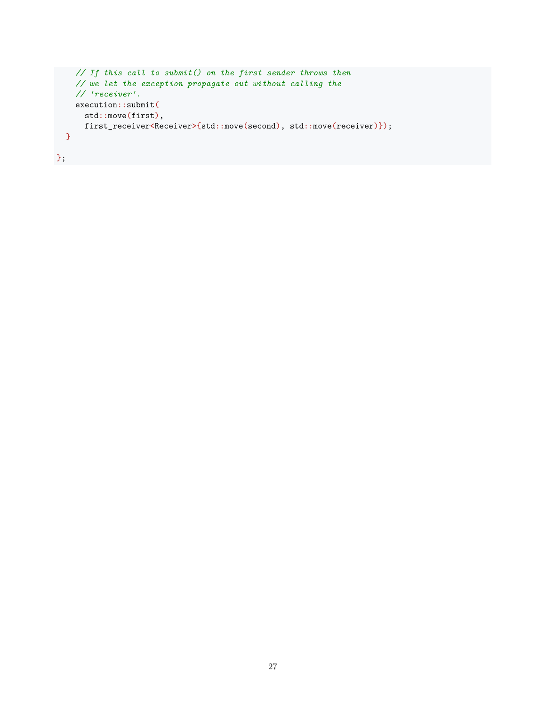```
// If this call to submit() on the first sender throws then
    // we let the exception propagate out without calling the
    // 'receiver'.
    execution::submit(
      std::move(first),
      first_receiver<Receiver>{std::move(second), std::move(receiver)});
  }
};
```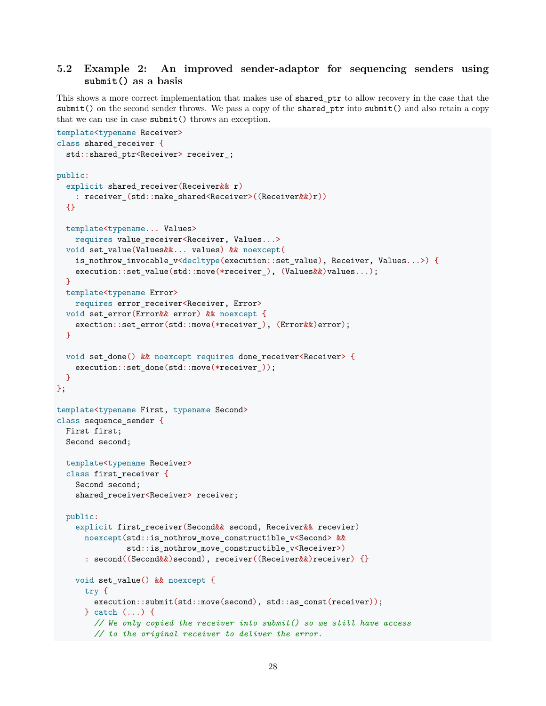# **5.2 Example 2: An improved sender-adaptor for sequencing senders using submit() as a basis**

This shows a more correct implementation that makes use of shared\_ptr to allow recovery in the case that the submit() on the second sender throws. We pass a copy of the shared ptr into submit() and also retain a copy that we can use in case submit() throws an exception.

```
template<typename Receiver>
class shared_receiver {
  std::shared_ptr<Receiver> receiver_;
public:
  explicit shared receiver(Receiver&& r)
    : receiver_(std::make_shared<Receiver>((Receiver&&)r))
  {}
  template<typename... Values>
    requires value_receiver<Receiver, Values...>
  void set_value(Values&&... values) && noexcept(
    is_nothrow_invocable_v<decltype(execution::set_value), Receiver, Values...>) {
    execution::set_value(std::move(*receiver_), (Values&&)values...);
  }
  template<typename Error>
    requires error_receiver<Receiver, Error>
  void set_error(Error&& error) && noexcept {
    exection::set_error(std::move(*receiver_), (Error & )error);
  }
  void set_done() && noexcept requires done_receiver<Receiver> {
    execution::set_done(std::move(*receiver_));
  }
};
template<typename First, typename Second>
class sequence_sender {
  First first;
  Second second;
  template<typename Receiver>
  class first_receiver {
    Second second;
    shared_receiver<Receiver> receiver;
  public:
    explicit first receiver(Second&& second, Receiver&& recevier)
      noexcept(std::is_nothrow_move_constructible_v<Second> &&
               std::is nothrow move constructible v<Receiver>)
      : second((Second&&)second), receiver((Receiver&&)receiver) {}
    void set_value() && noexcept {
      try {
        execution::submit(std::move(second), std::as_const(receiver));
      } catch (...) {
        // We only copied the receiver into submit() so we still have access
        // to the original receiver to deliver the error.
```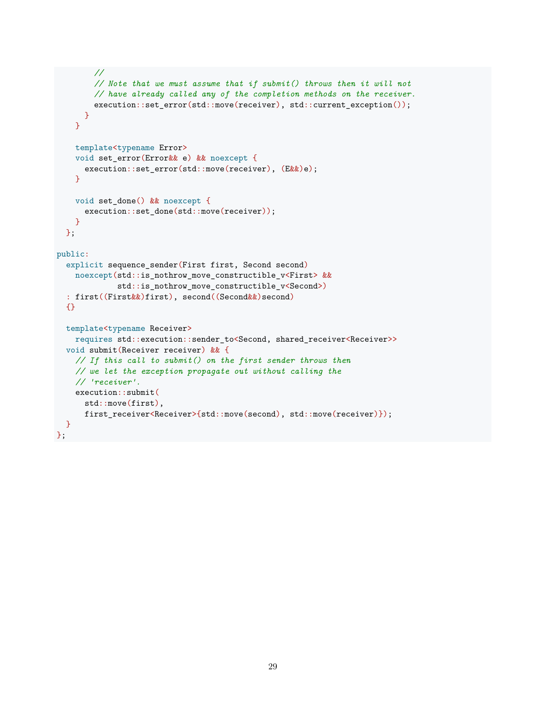```
//
        // Note that we must assume that if submit() throws then it will not
        // have already called any of the completion methods on the receiver.
        execution::set_error(std::move(receiver), std::current_exception());
     }
    }
    template<typename Error>
    void set_error(Error&& e) && noexcept {
      execution::set_error(std::move(receiver), (E&\&)e);
    }
    void set_done() && noexcept {
      execution::set_done(std::move(receiver));
    }
  };
public:
  explicit sequence_sender(First first, Second second)
   noexcept(std::is_nothrow_move_constructible_v<First> &&
             std::is_nothrow_move_constructible_v<Second>)
  : first((First&&)first), second((Second&&)second)
  {}
  template<typename Receiver>
    requires std::execution::sender_to<Second, shared_receiver<Receiver>>
  void submit(Receiver receiver) && {
    // If this call to submit() on the first sender throws then
    // we let the exception propagate out without calling the
    // 'receiver'.
    execution::submit(
     std::move(first),
     first receiver<Receiver>{std::move(second), std::move(receiver)});
  }
};
```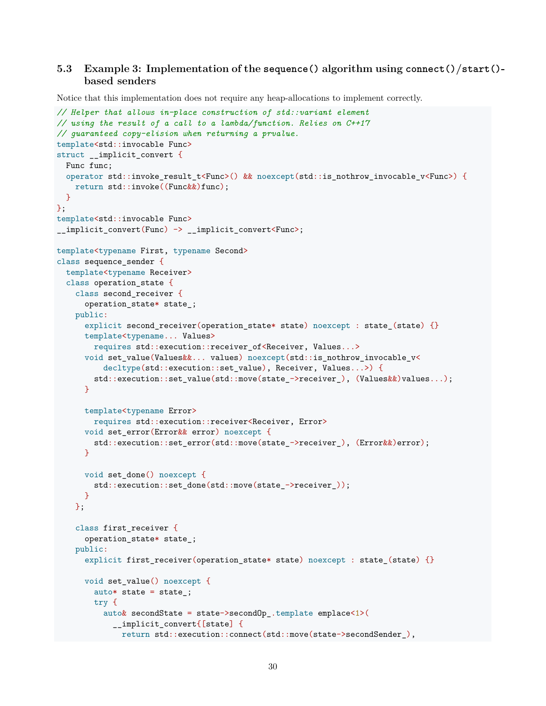# **5.3 Example 3: Implementation of the sequence() algorithm using connect()/start() based senders**

Notice that this implementation does not require any heap-allocations to implement correctly.

```
// Helper that allows in-place construction of std::variant element
// using the result of a call to a lambda/function. Relies on C++17
// guaranteed copy-elision when returning a prvalue.
template<std::invocable Func>
struct __implicit_convert {
 Func func;
  operator std::invoke_result_t<Func>() && noexcept(std::is_nothrow_invocable_v<Func>) {
    return std::invoke((Func&&)func);
  }
};
template<std::invocable Func>
__implicit_convert(Func) -> __implicit_convert<Func>;
template<typename First, typename Second>
class sequence_sender {
  template<typename Receiver>
  class operation_state {
    class second_receiver {
      operation_state* state_;
    public:
      explicit second_receiver(operation_state* state) noexcept : state_(state) {}
      template<typename... Values>
        requires std::execution::receiver_of<Receiver, Values...>
      void set_value(Values&&... values) noexcept(std::is_nothrow_invocable_v<
          decltype(std::execution::set_value), Receiver, Values...>) {
        std::execution::set_value(std::move(state_->receiver_), (Values&&)values...);
      }
      template<typename Error>
        requires std::execution::receiver<Receiver, Error>
      void set_error(Error&& error) noexcept {
        std::execution::set error(std::move(state ->receiver ), (Error&&)error);
      }
      void set_done() noexcept {
        std::execution::set_done(std::move(state_->receiver_));
      }
    };
    class first_receiver {
      operation_state* state_;
    public:
      explicit first_receiver(operation_state* state) noexcept : state_(state) {}
      void set value() noexcept {
        auto* state = state_j;
        try {
          auto& secondState = state->secondOp_.template emplace<1>(
            __implicit_convert{[state] {
              return std::execution::connect(std::move(state->secondSender_),
```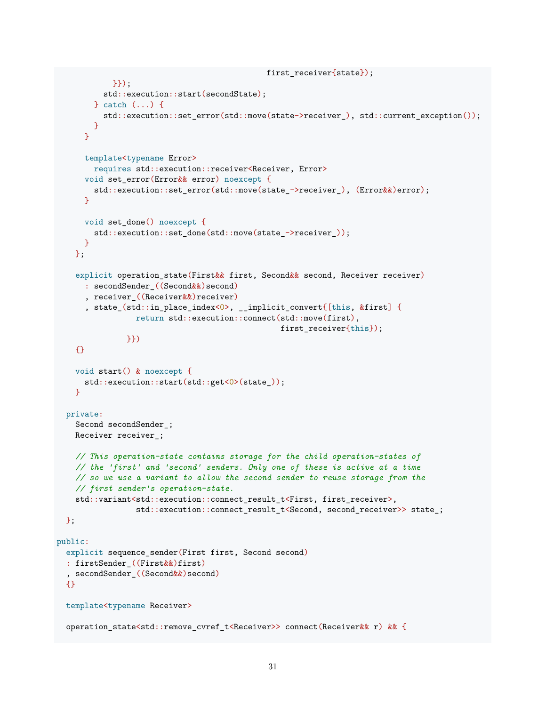```
first receiver{state});
           }});
          std::execution::start(secondState);
        } catch (...) {
          std::execution::set error(std::move(state->receiver ), std::current exception());
        }
     }
     template<typename Error>
        requires std::execution::receiver<Receiver, Error>
     void set_error(Error&& error) noexcept {
        std::execution::set_error(std::move(state_->receiver_), (Error&&)error);
     }
     void set done() noexcept {
        std::execution::set done(std::move(state ->receiver ));
     }
   };
   explicit operation_state(First&& first, Second&& second, Receiver receiver)
      : secondSender_((Second&&)second)
      , receiver_((Receiver&&)receiver)
      , state_(std::in_place_index<0>, __implicit_convert{[this, &first] {
                 return std::execution::connect(std::move(first),
                                                first_receiver{this});
               }})
   {}
   void start() & noexcept {
     std::execution::start(std::get<0>(state_));
   }
  private:
   Second secondSender_;
   Receiver receiver ;
   // This operation-state contains storage for the child operation-states of
   // the 'first' and 'second' senders. Only one of these is active at a time
   // so we use a variant to allow the second sender to reuse storage from the
   // first sender's operation-state.
   std::variant<std::execution::connect_result_t<First, first_receiver>,
                 std::execution::connect_result_t<Second, second_receiver>> state_;
 };
public:
  explicit sequence_sender(First first, Second second)
  : firstSender_((First&&)first)
  , secondSender_((Second&&)second)
  {}
 template<typename Receiver>
  operation_state<std::remove_cvref_t<Receiver>> connect(Receiver&& r) && {
```